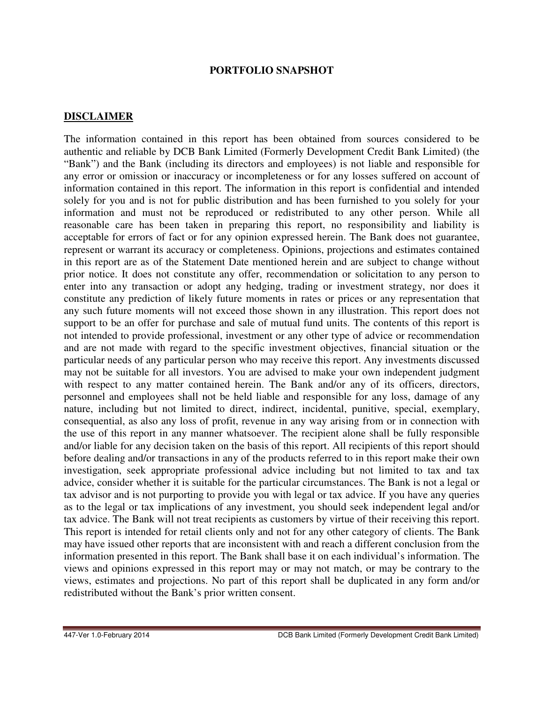## **PORTFOLIO SNAPSHOT**

## **DISCLAIMER**

The information contained in this report has been obtained from sources considered to be authentic and reliable by DCB Bank Limited (Formerly Development Credit Bank Limited) (the "Bank") and the Bank (including its directors and employees) is not liable and responsible for any error or omission or inaccuracy or incompleteness or for any losses suffered on account of information contained in this report. The information in this report is confidential and intended solely for you and is not for public distribution and has been furnished to you solely for your information and must not be reproduced or redistributed to any other person. While all reasonable care has been taken in preparing this report, no responsibility and liability is acceptable for errors of fact or for any opinion expressed herein. The Bank does not guarantee, represent or warrant its accuracy or completeness. Opinions, projections and estimates contained in this report are as of the Statement Date mentioned herein and are subject to change without prior notice. It does not constitute any offer, recommendation or solicitation to any person to enter into any transaction or adopt any hedging, trading or investment strategy, nor does it constitute any prediction of likely future moments in rates or prices or any representation that any such future moments will not exceed those shown in any illustration. This report does not support to be an offer for purchase and sale of mutual fund units. The contents of this report is not intended to provide professional, investment or any other type of advice or recommendation and are not made with regard to the specific investment objectives, financial situation or the particular needs of any particular person who may receive this report. Any investments discussed may not be suitable for all investors. You are advised to make your own independent judgment with respect to any matter contained herein. The Bank and/or any of its officers, directors, personnel and employees shall not be held liable and responsible for any loss, damage of any nature, including but not limited to direct, indirect, incidental, punitive, special, exemplary, consequential, as also any loss of profit, revenue in any way arising from or in connection with the use of this report in any manner whatsoever. The recipient alone shall be fully responsible and/or liable for any decision taken on the basis of this report. All recipients of this report should before dealing and/or transactions in any of the products referred to in this report make their own investigation, seek appropriate professional advice including but not limited to tax and tax advice, consider whether it is suitable for the particular circumstances. The Bank is not a legal or tax advisor and is not purporting to provide you with legal or tax advice. If you have any queries as to the legal or tax implications of any investment, you should seek independent legal and/or tax advice. The Bank will not treat recipients as customers by virtue of their receiving this report. This report is intended for retail clients only and not for any other category of clients. The Bank may have issued other reports that are inconsistent with and reach a different conclusion from the information presented in this report. The Bank shall base it on each individual's information. The views and opinions expressed in this report may or may not match, or may be contrary to the views, estimates and projections. No part of this report shall be duplicated in any form and/or redistributed without the Bank's prior written consent.